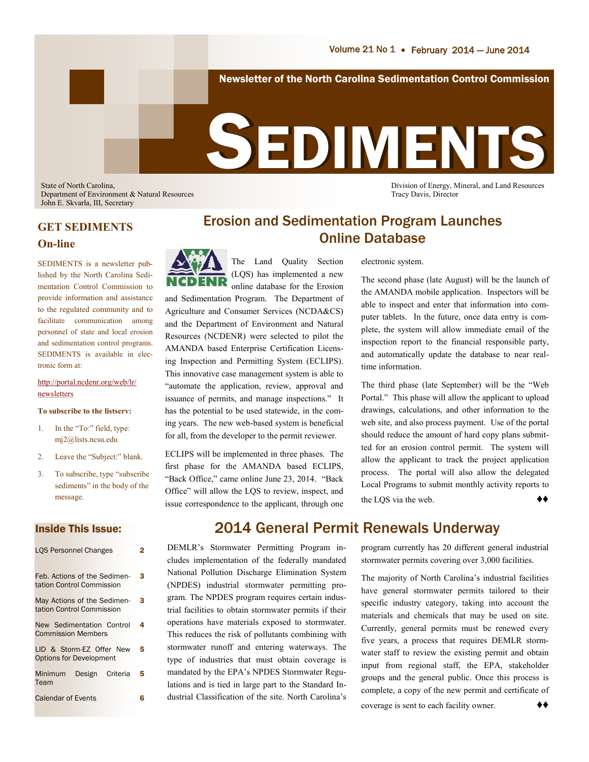Department of Environment & Natural Resources Tracy Davis, Director John E. Skvarla, III, Secretary

State of North Carolina, Division of Energy, Mineral, and Land Resources

### **GET SEDIMENTS On-line**

SEDIMENTS is a newsletter published by the North Carolina Sedimentation Control Commission to provide information and assistance to the regulated community and to facilitate communication among personnel of state and local erosion and sedimentation control programs. SEDIMENTS is available in electronic form at:

#### [http://portal.ncdenr.org/web/lr/](http://portal.ncdenr.org/web/lr/newsletters) [newsletters](http://portal.ncdenr.org/web/lr/newsletters)

#### **To subscribe to the listserv:**

- 1. In the "To:" field, type: mj2@lists.ncsu.edu
- 2. Leave the "Subject:" blank.
- 3. To subscribe, type "subscribe sediments" in the body of the message.

#### Inside This Issue:

| <b>LOS Personnel Changes</b>                               | 2 |
|------------------------------------------------------------|---|
| Feb. Actions of the Sedimen-<br>tation Control Commission  | 3 |
| May Actions of the Sedimen-<br>tation Control Commission   | 3 |
| New Sedimentation Control<br><b>Commission Members</b>     | 4 |
| LID & Storm-EZ Offer New<br><b>Options for Development</b> | 5 |
| Design Criteria<br>Minimum<br>Team                         | 5 |
| <b>Calendar of Events</b>                                  | 6 |

### Erosion and Sedimentation Program Launches Online Database

The Land Quality Section (LQS) has implemented a new online database for the Erosion

and Sedimentation Program. The Department of Agriculture and Consumer Services (NCDA&CS) and the Department of Environment and Natural Resources (NCDENR) were selected to pilot the AMANDA based Enterprise Certification Licensing Inspection and Permitting System (ECLIPS). This innovative case management system is able to "automate the application, review, approval and issuance of permits, and manage inspections." It has the potential to be used statewide, in the coming years. The new web-based system is beneficial for all, from the developer to the permit reviewer.

ECLIPS will be implemented in three phases. The first phase for the AMANDA based ECLIPS, "Back Office," came online June 23, 2014. "Back Office" will allow the LQS to review, inspect, and issue correspondence to the applicant, through one

#### electronic system.

The second phase (late August) will be the launch of the AMANDA mobile application. Inspectors will be able to inspect and enter that information into computer tablets. In the future, once data entry is complete, the system will allow immediate email of the inspection report to the financial responsible party, and automatically update the database to near realtime information.

The third phase (late September) will be the "Web Portal." This phase will allow the applicant to upload drawings, calculations, and other information to the web site, and also process payment. Use of the portal should reduce the amount of hard copy plans submitted for an erosion control permit. The system will allow the applicant to track the project application process. The portal will also allow the delegated Local Programs to submit monthly activity reports to the LQS via the web. ♦♦

# 2014 General Permit Renewals Underway

DEMLR's Stormwater Permitting Program includes implementation of the federally mandated National Pollution Discharge Elimination System (NPDES) industrial stormwater permitting program. The NPDES program requires certain industrial facilities to obtain stormwater permits if their operations have materials exposed to stormwater. This reduces the risk of pollutants combining with stormwater runoff and entering waterways. The type of industries that must obtain coverage is mandated by the EPA's NPDES Stormwater Regulations and is tied in large part to the Standard Industrial Classification of the site. North Carolina's

program currently has 20 different general industrial stormwater permits covering over 3,000 facilities.

The majority of North Carolina's industrial facilities have general stormwater permits tailored to their specific industry category, taking into account the materials and chemicals that may be used on site. Currently, general permits must be renewed every five years, a process that requires DEMLR stormwater staff to review the existing permit and obtain input from regional staff, the EPA, stakeholder groups and the general public. Once this process is complete, a copy of the new permit and certificate of coverage is sent to each facility owner.  $\rightarrow \rightarrow \rightarrow$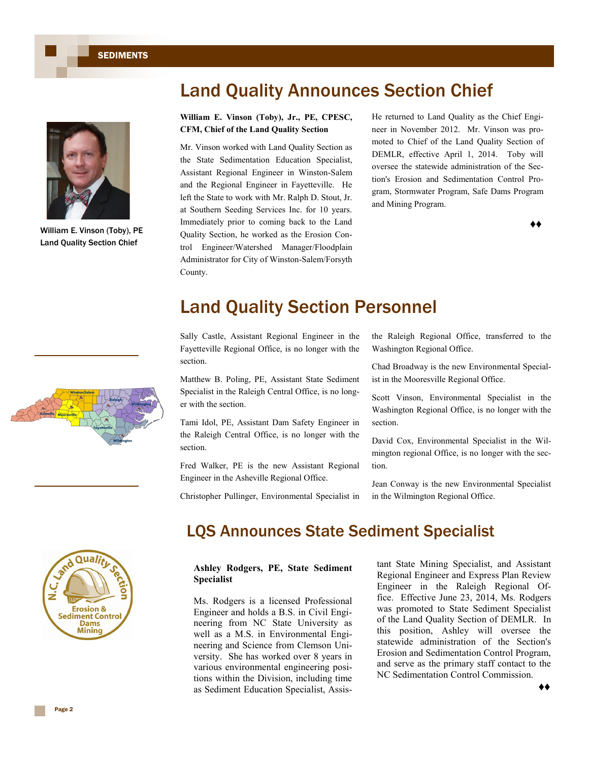

William E. Vinson (Toby), PE Land Quality Section Chief



# Land Quality Announces Section Chief

#### **William E. Vinson (Toby), Jr., PE, CPESC, CFM, Chief of the Land Quality Section**

Mr. Vinson worked with Land Quality Section as the State Sedimentation Education Specialist, Assistant Regional Engineer in Winston-Salem and the Regional Engineer in Fayetteville. He left the State to work with Mr. Ralph D. Stout, Jr. at Southern Seeding Services Inc. for 10 years. Immediately prior to coming back to the Land Quality Section, he worked as the Erosion Control Engineer/Watershed Manager/Floodplain Administrator for City of Winston-Salem/Forsyth County.

He returned to Land Quality as the Chief Engineer in November 2012. Mr. Vinson was promoted to Chief of the Land Quality Section of DEMLR, effective April 1, 2014. Toby will oversee the statewide administration of the Section's Erosion and Sedimentation Control Program, Stormwater Program, Safe Dams Program and Mining Program.

♦♦

# Land Quality Section Personnel

Sally Castle, Assistant Regional Engineer in the Fayetteville Regional Office, is no longer with the section.

Matthew B. Poling, PE, Assistant State Sediment Specialist in the Raleigh Central Office, is no longer with the section.

Tami Idol, PE, Assistant Dam Safety Engineer in the Raleigh Central Office, is no longer with the section.

Fred Walker, PE is the new Assistant Regional Engineer in the Asheville Regional Office.

Christopher Pullinger, Environmental Specialist in

the Raleigh Regional Office, transferred to the Washington Regional Office.

Chad Broadway is the new Environmental Specialist in the Mooresville Regional Office.

Scott Vinson, Environmental Specialist in the Washington Regional Office, is no longer with the section.

David Cox, Environmental Specialist in the Wilmington regional Office, is no longer with the section.

Jean Conway is the new Environmental Specialist in the Wilmington Regional Office.



### LQS Announces State Sediment Specialist

**Ashley Rodgers, PE, State Sediment Specialist**

Ms. Rodgers is a licensed Professional Engineer and holds a B.S. in Civil Engineering from NC State University as well as a M.S. in Environmental Engineering and Science from Clemson University. She has worked over 8 years in various environmental engineering positions within the Division, including time as Sediment Education Specialist, Assistant State Mining Specialist, and Assistant Regional Engineer and Express Plan Review Engineer in the Raleigh Regional Office. Effective June 23, 2014, Ms. Rodgers was promoted to State Sediment Specialist of the Land Quality Section of DEMLR. In this position, Ashley will oversee the statewide administration of the Section's Erosion and Sedimentation Control Program, and serve as the primary staff contact to the NC Sedimentation Control Commission.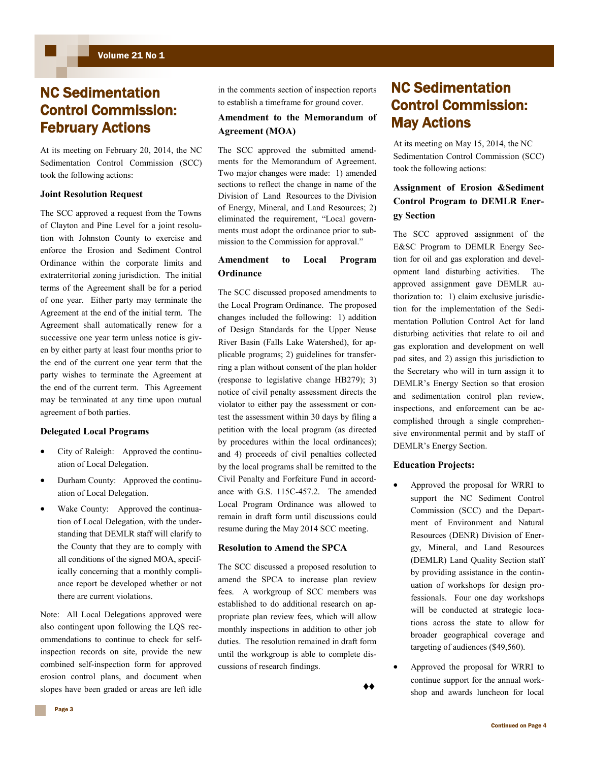## NC Sedimentation Control Commission: February Actions

At its meeting on February 20, 2014, the NC Sedimentation Control Commission (SCC) took the following actions:

#### **Joint Resolution Request**

The SCC approved a request from the Towns of Clayton and Pine Level for a joint resolution with Johnston County to exercise and enforce the Erosion and Sediment Control Ordinance within the corporate limits and extraterritorial zoning jurisdiction. The initial terms of the Agreement shall be for a period of one year. Either party may terminate the Agreement at the end of the initial term. The Agreement shall automatically renew for a successive one year term unless notice is given by either party at least four months prior to the end of the current one year term that the party wishes to terminate the Agreement at the end of the current term. This Agreement may be terminated at any time upon mutual agreement of both parties.

#### **Delegated Local Programs**

- City of Raleigh: Approved the continuation of Local Delegation.
- Durham County: Approved the continuation of Local Delegation.
- Wake County: Approved the continuation of Local Delegation, with the understanding that DEMLR staff will clarify to the County that they are to comply with all conditions of the signed MOA, specifically concerning that a monthly compliance report be developed whether or not there are current violations.

Note: All Local Delegations approved were also contingent upon following the LQS recommendations to continue to check for selfinspection records on site, provide the new combined self-inspection form for approved erosion control plans, and document when slopes have been graded or areas are left idle

in the comments section of inspection reports to establish a timeframe for ground cover.

#### **Amendment to the Memorandum of Agreement (MOA)**

The SCC approved the submitted amendments for the Memorandum of Agreement. Two major changes were made: 1) amended sections to reflect the change in name of the Division of Land Resources to the Division of Energy, Mineral, and Land Resources; 2) eliminated the requirement, "Local governments must adopt the ordinance prior to submission to the Commission for approval."

#### **Amendment to Local Program Ordinance**

The SCC discussed proposed amendments to the Local Program Ordinance. The proposed changes included the following: 1) addition of Design Standards for the Upper Neuse River Basin (Falls Lake Watershed), for applicable programs; 2) guidelines for transferring a plan without consent of the plan holder (response to legislative change HB279); 3) notice of civil penalty assessment directs the violator to either pay the assessment or contest the assessment within 30 days by filing a petition with the local program (as directed by procedures within the local ordinances); and 4) proceeds of civil penalties collected by the local programs shall be remitted to the Civil Penalty and Forfeiture Fund in accordance with G.S. 115C-457.2. The amended Local Program Ordinance was allowed to remain in draft form until discussions could resume during the May 2014 SCC meeting.

#### **Resolution to Amend the SPCA**

The SCC discussed a proposed resolution to amend the SPCA to increase plan review fees. A workgroup of SCC members was established to do additional research on appropriate plan review fees, which will allow monthly inspections in addition to other job duties. The resolution remained in draft form until the workgroup is able to complete discussions of research findings.

♦♦

# NC Sedimentation Control Commission: May Actions

At its meeting on May 15, 2014, the NC Sedimentation Control Commission (SCC) took the following actions:

#### **Assignment of Erosion &Sediment Control Program to DEMLR Energy Section**

The SCC approved assignment of the E&SC Program to DEMLR Energy Section for oil and gas exploration and development land disturbing activities. The approved assignment gave DEMLR authorization to: 1) claim exclusive jurisdiction for the implementation of the Sedimentation Pollution Control Act for land disturbing activities that relate to oil and gas exploration and development on well pad sites, and 2) assign this jurisdiction to the Secretary who will in turn assign it to DEMLR's Energy Section so that erosion and sedimentation control plan review, inspections, and enforcement can be accomplished through a single comprehensive environmental permit and by staff of DEMLR's Energy Section.

#### **Education Projects:**

- Approved the proposal for WRRI to support the NC Sediment Control Commission (SCC) and the Department of Environment and Natural Resources (DENR) Division of Energy, Mineral, and Land Resources (DEMLR) Land Quality Section staff by providing assistance in the continuation of workshops for design professionals. Four one day workshops will be conducted at strategic locations across the state to allow for broader geographical coverage and targeting of audiences (\$49,560).
- Approved the proposal for WRRI to continue support for the annual workshop and awards luncheon for local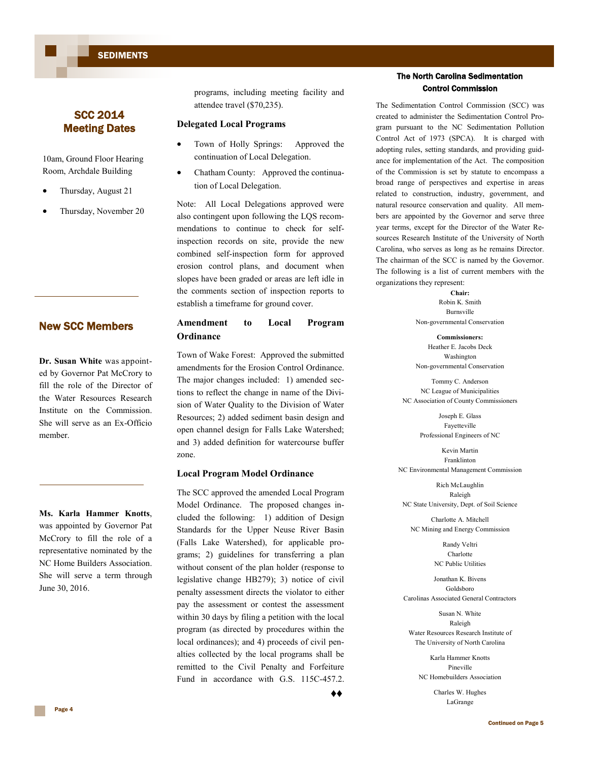**SEDIMENTS** 

#### SCC 2014 Meeting Dates

10am, Ground Floor Hearing Room, Archdale Building

- Thursday, August 21
- Thursday, November 20

#### New SCC Members

**Dr. Susan White** was appointed by Governor Pat McCrory to fill the role of the Director of the Water Resources Research Institute on the Commission. She will serve as an Ex-Officio member.

**Ms. Karla Hammer Knotts**, was appointed by Governor Pat McCrory to fill the role of a representative nominated by the NC Home Builders Association. She will serve a term through June 30, 2016.

programs, including meeting facility and attendee travel (\$70,235).

#### **Delegated Local Programs**

- Town of Holly Springs: Approved the continuation of Local Delegation.
- Chatham County: Approved the continuation of Local Delegation.

Note: All Local Delegations approved were also contingent upon following the LQS recommendations to continue to check for selfinspection records on site, provide the new combined self-inspection form for approved erosion control plans, and document when slopes have been graded or areas are left idle in the comments section of inspection reports to establish a timeframe for ground cover.

#### **Amendment to Local Program Ordinance**

Town of Wake Forest: Approved the submitted amendments for the Erosion Control Ordinance. The major changes included: 1) amended sections to reflect the change in name of the Division of Water Quality to the Division of Water Resources; 2) added sediment basin design and open channel design for Falls Lake Watershed; and 3) added definition for watercourse buffer zone.

#### **Local Program Model Ordinance**

The SCC approved the amended Local Program Model Ordinance. The proposed changes included the following: 1) addition of Design Standards for the Upper Neuse River Basin (Falls Lake Watershed), for applicable programs; 2) guidelines for transferring a plan without consent of the plan holder (response to legislative change HB279); 3) notice of civil penalty assessment directs the violator to either pay the assessment or contest the assessment within 30 days by filing a petition with the local program (as directed by procedures within the local ordinances); and 4) proceeds of civil penalties collected by the local programs shall be remitted to the Civil Penalty and Forfeiture Fund in accordance with G.S. 115C-457.2.

♦♦

#### The North Carolina Sedimentation Control Commission

The Sedimentation Control Commission (SCC) was created to administer the Sedimentation Control Program pursuant to the NC Sedimentation Pollution Control Act of 1973 (SPCA). It is charged with adopting rules, setting standards, and providing guidance for implementation of the Act. The composition of the Commission is set by statute to encompass a broad range of perspectives and expertise in areas related to construction, industry, government, and natural resource conservation and quality. All members are appointed by the Governor and serve three year terms, except for the Director of the Water Resources Research Institute of the University of North Carolina, who serves as long as he remains Director. The chairman of the SCC is named by the Governor. The following is a list of current members with the organizations they represent:

> **Chair:** Robin K. Smith Burnsville Non-governmental Conservation

> **Commissioners:** Heather E. Jacobs Deck Washington Non-governmental Conservation

Tommy C. Anderson NC League of Municipalities NC Association of County Commissioners

> Joseph E. Glass Fayetteville Professional Engineers of NC

Kevin Martin Franklinton NC Environmental Management Commission

Rich McLaughlin Raleigh NC State University, Dept. of Soil Science

Charlotte A. Mitchell NC Mining and Energy Commission

> Randy Veltri Charlotte NC Public Utilities

Jonathan K. Bivens Goldsboro Carolinas Associated General Contractors

Susan N. White Raleigh Water Resources Research Institute of The University of North Carolina

Karla Hammer Knotts Pineville NC Homebuilders Association

> Charles W. Hughes LaGrange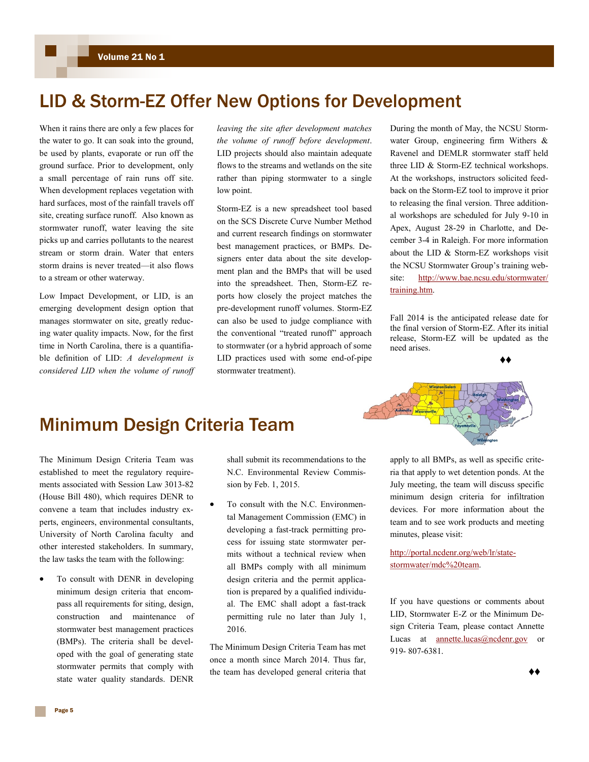# LID & Storm-EZ Offer New Options for Development

When it rains there are only a few places for the water to go. It can soak into the ground, be used by plants, evaporate or run off the ground surface. Prior to development, only a small percentage of rain runs off site. When development replaces vegetation with hard surfaces, most of the rainfall travels off site, creating surface runoff. Also known as stormwater runoff, water leaving the site picks up and carries pollutants to the nearest stream or storm drain. Water that enters storm drains is never treated—it also flows to a stream or other waterway.

Low Impact Development, or LID, is an emerging development design option that manages stormwater on site, greatly reducing water quality impacts. Now, for the first time in North Carolina, there is a quantifiable definition of LID: *A development is considered LID when the volume of runoff*  *leaving the site after development matches the volume of runoff before development*. LID projects should also maintain adequate flows to the streams and wetlands on the site rather than piping stormwater to a single low point.

Storm-EZ is a new spreadsheet tool based on the SCS Discrete Curve Number Method and current research findings on stormwater best management practices, or BMPs. Designers enter data about the site development plan and the BMPs that will be used into the spreadsheet. Then, Storm-EZ reports how closely the project matches the pre-development runoff volumes. Storm-EZ can also be used to judge compliance with the conventional "treated runoff" approach to stormwater (or a hybrid approach of some LID practices used with some end-of-pipe stormwater treatment).

During the month of May, the NCSU Stormwater Group, engineering firm Withers & Ravenel and DEMLR stormwater staff held three LID & Storm-EZ technical workshops. At the workshops, instructors solicited feedback on the Storm-EZ tool to improve it prior to releasing the final version. Three additional workshops are scheduled for July 9-10 in Apex, August 28-29 in Charlotte, and December 3-4 in Raleigh. For more information about the LID & Storm-EZ workshops visit the NCSU Stormwater Group's training website: [http://www.bae.ncsu.edu/stormwater/](http://www.bae.ncsu.edu/stormwater/training.htm) [training.htm.](http://www.bae.ncsu.edu/stormwater/training.htm)

Fall 2014 is the anticipated release date for the final version of Storm-EZ. After its initial release, Storm-EZ will be updated as the need arises.

♦♦

# Minimum Design Criteria Team

The Minimum Design Criteria Team was established to meet the regulatory requirements associated with Session Law 3013-82 (House Bill 480), which requires DENR to convene a team that includes industry experts, engineers, environmental consultants, University of North Carolina faculty and other interested stakeholders. In summary, the law tasks the team with the following:

 To consult with DENR in developing minimum design criteria that encompass all requirements for siting, design, construction and maintenance of stormwater best management practices (BMPs). The criteria shall be developed with the goal of generating state stormwater permits that comply with state water quality standards. DENR

shall submit its recommendations to the N.C. Environmental Review Commission by Feb. 1, 2015.

 To consult with the N.C. Environmental Management Commission (EMC) in developing a fast-track permitting process for issuing state stormwater permits without a technical review when all BMPs comply with all minimum design criteria and the permit application is prepared by a qualified individual. The EMC shall adopt a fast-track permitting rule no later than July 1, 2016.

The Minimum Design Criteria Team has met once a month since March 2014. Thus far, the team has developed general criteria that apply to all BMPs, as well as specific criteria that apply to wet detention ponds. At the July meeting, the team will discuss specific minimum design criteria for infiltration devices. For more information about the team and to see work products and meeting

[http://portal.ncdenr.org/web/lr/state](http://portal.ncdenr.org/web/lr/state-stormwater/mdc%20team)[stormwater/mdc%20team.](http://portal.ncdenr.org/web/lr/state-stormwater/mdc%20team)

minutes, please visit:

If you have questions or comments about LID, Stormwater E-Z or the Minimum Design Criteria Team, please contact Annette Lucas at **annette**.lucas@ncdenr.gov or 919- 807-6381.